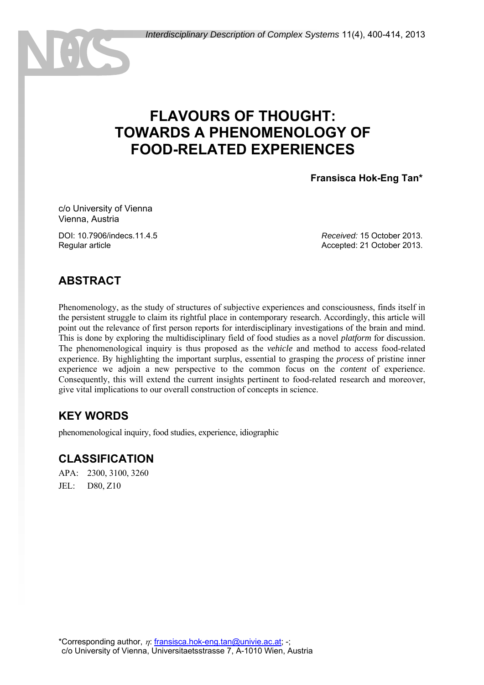# **FLAVOURS OF THOUGHT: TOWARDS A PHENOMENOLOGY OF FOOD-RELATED EXPERIENCES**

**Fransisca Hok-Eng Tan\***

c/o University of Vienna Vienna, Austria

DOI: 10.7906/indecs.11.4.5 Regular article

*Received:* 15 October 2013. Accepted: 21 October 2013.

### **ABSTRACT**

Phenomenology, as the study of structures of subjective experiences and consciousness, finds itself in the persistent struggle to claim its rightful place in contemporary research. Accordingly, this article will point out the relevance of first person reports for interdisciplinary investigations of the brain and mind. This is done by exploring the multidisciplinary field of food studies as a novel *platform* for discussion. The phenomenological inquiry is thus proposed as the *vehicle* and method to access food-related experience. By highlighting the important surplus, essential to grasping the *process* of pristine inner experience we adjoin a new perspective to the common focus on the *content* of experience. Consequently, this will extend the current insights pertinent to food-related research and moreover, give vital implications to our overall construction of concepts in science.

### **KEY WORDS**

phenomenological inquiry, food studies, experience, idiographic

### **CLASSIFICATION**

APA: 2300, 3100, 3260 JEL: D80, Z10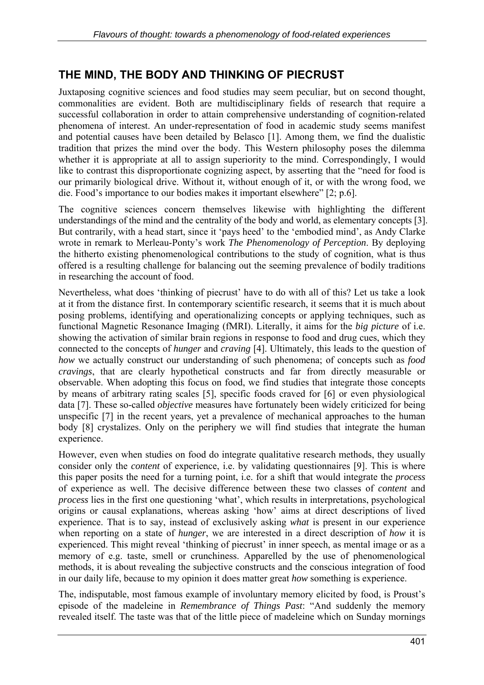### **THE MIND, THE BODY AND THINKING OF PIECRUST**

Juxtaposing cognitive sciences and food studies may seem peculiar, but on second thought, commonalities are evident. Both are multidisciplinary fields of research that require a successful collaboration in order to attain comprehensive understanding of cognition-related phenomena of interest. An under-representation of food in academic study seems manifest and potential causes have been detailed by Belasco [1]. Among them, we find the dualistic tradition that prizes the mind over the body. This Western philosophy poses the dilemma whether it is appropriate at all to assign superiority to the mind. Correspondingly, I would like to contrast this disproportionate cognizing aspect, by asserting that the "need for food is our primarily biological drive. Without it, without enough of it, or with the wrong food, we die. Food's importance to our bodies makes it important elsewhere" [2; p.6].

The cognitive sciences concern themselves likewise with highlighting the different understandings of the mind and the centrality of the body and world, as elementary concepts [3]. But contrarily, with a head start, since it 'pays heed' to the 'embodied mind', as Andy Clarke wrote in remark to Merleau-Ponty's work *The Phenomenology of Perception*. By deploying the hitherto existing phenomenological contributions to the study of cognition, what is thus offered is a resulting challenge for balancing out the seeming prevalence of bodily traditions in researching the account of food.

Nevertheless, what does 'thinking of piecrust' have to do with all of this? Let us take a look at it from the distance first. In contemporary scientific research, it seems that it is much about posing problems, identifying and operationalizing concepts or applying techniques, such as functional Magnetic Resonance Imaging (fMRI). Literally, it aims for the *big picture* of i.e. showing the activation of similar brain regions in response to food and drug cues, which they connected to the concepts of *hunger* and *craving* [4]. Ultimately, this leads to the question of *how* we actually construct our understanding of such phenomena; of concepts such as *food cravings*, that are clearly hypothetical constructs and far from directly measurable or observable. When adopting this focus on food, we find studies that integrate those concepts by means of arbitrary rating scales [5], specific foods craved for [6] or even physiological data [7]. These so-called *objective* measures have fortunately been widely criticized for being unspecific [7] in the recent years, yet a prevalence of mechanical approaches to the human body [8] crystalizes. Only on the periphery we will find studies that integrate the human experience.

However, even when studies on food do integrate qualitative research methods, they usually consider only the *content* of experience, i.e. by validating questionnaires [9]. This is where this paper posits the need for a turning point, i.e. for a shift that would integrate the *process* of experience as well. The decisive difference between these two classes of *content* and *process* lies in the first one questioning 'what', which results in interpretations, psychological origins or causal explanations, whereas asking 'how' aims at direct descriptions of lived experience. That is to say, instead of exclusively asking *what* is present in our experience when reporting on a state of *hunger*, we are interested in a direct description of *how* it is experienced. This might reveal 'thinking of piecrust' in inner speech, as mental image or as a memory of e.g. taste, smell or crunchiness. Apparelled by the use of phenomenological methods, it is about revealing the subjective constructs and the conscious integration of food in our daily life, because to my opinion it does matter great *how* something is experience.

The, indisputable, most famous example of involuntary memory elicited by food, is Proust's episode of the madeleine in *Remembrance of Things Past*: "And suddenly the memory revealed itself. The taste was that of the little piece of madeleine which on Sunday mornings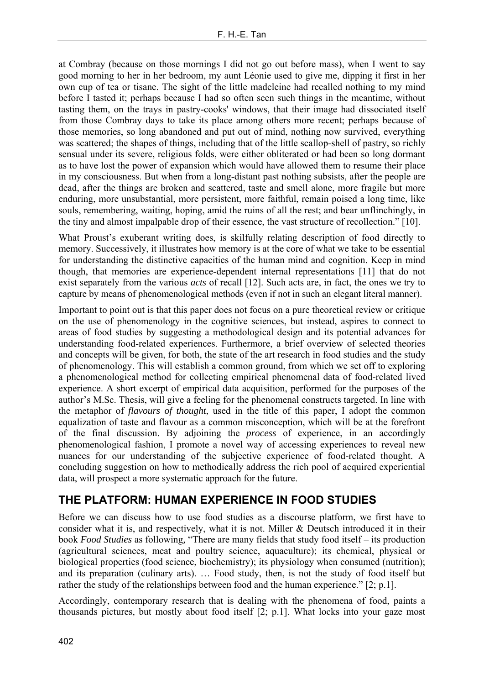at Combray (because on those mornings I did not go out before mass), when I went to say good morning to her in her bedroom, my aunt Léonie used to give me, dipping it first in her own cup of tea or tisane. The sight of the little madeleine had recalled nothing to my mind before I tasted it; perhaps because I had so often seen such things in the meantime, without tasting them, on the trays in pastry-cooks' windows, that their image had dissociated itself from those Combray days to take its place among others more recent; perhaps because of those memories, so long abandoned and put out of mind, nothing now survived, everything was scattered; the shapes of things, including that of the little scallop-shell of pastry, so richly sensual under its severe, religious folds, were either obliterated or had been so long dormant as to have lost the power of expansion which would have allowed them to resume their place in my consciousness. But when from a long-distant past nothing subsists, after the people are dead, after the things are broken and scattered, taste and smell alone, more fragile but more enduring, more unsubstantial, more persistent, more faithful, remain poised a long time, like souls, remembering, waiting, hoping, amid the ruins of all the rest; and bear unflinchingly, in the tiny and almost impalpable drop of their essence, the vast structure of recollection." [10].

What Proust's exuberant writing does, is skilfully relating description of food directly to memory. Successively, it illustrates how memory is at the core of what we take to be essential for understanding the distinctive capacities of the human mind and cognition. Keep in mind though, that memories are experience-dependent internal representations [11] that do not exist separately from the various *acts* of recall [12]. Such acts are, in fact, the ones we try to capture by means of phenomenological methods (even if not in such an elegant literal manner).

Important to point out is that this paper does not focus on a pure theoretical review or critique on the use of phenomenology in the cognitive sciences, but instead, aspires to connect to areas of food studies by suggesting a methodological design and its potential advances for understanding food-related experiences. Furthermore, a brief overview of selected theories and concepts will be given, for both, the state of the art research in food studies and the study of phenomenology. This will establish a common ground, from which we set off to exploring a phenomenological method for collecting empirical phenomenal data of food-related lived experience. A short excerpt of empirical data acquisition, performed for the purposes of the author's M.Sc. Thesis, will give a feeling for the phenomenal constructs targeted. In line with the metaphor of *flavours of thought*, used in the title of this paper, I adopt the common equalization of taste and flavour as a common misconception, which will be at the forefront of the final discussion. By adjoining the *process* of experience, in an accordingly phenomenological fashion, I promote a novel way of accessing experiences to reveal new nuances for our understanding of the subjective experience of food-related thought. A concluding suggestion on how to methodically address the rich pool of acquired experiential data, will prospect a more systematic approach for the future.

### **THE PLATFORM: HUMAN EXPERIENCE IN FOOD STUDIES**

Before we can discuss how to use food studies as a discourse platform, we first have to consider what it is, and respectively, what it is not. Miller & Deutsch introduced it in their book *Food Studies* as following*,* "There are many fields that study food itself – its production (agricultural sciences, meat and poultry science, aquaculture); its chemical, physical or biological properties (food science, biochemistry); its physiology when consumed (nutrition); and its preparation (culinary arts). … Food study, then, is not the study of food itself but rather the study of the relationships between food and the human experience." [2; p.1].

Accordingly, contemporary research that is dealing with the phenomena of food, paints a thousands pictures, but mostly about food itself [2; p.1]. What locks into your gaze most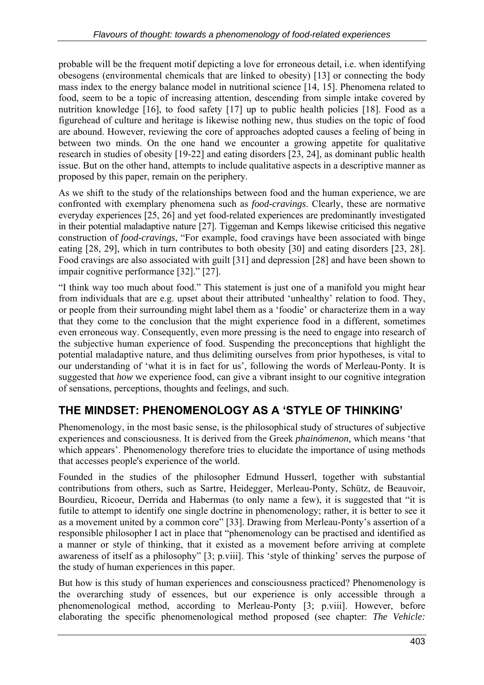probable will be the frequent motif depicting a love for erroneous detail, i.e. when identifying obesogens (environmental chemicals that are linked to obesity) [13] or connecting the body mass index to the energy balance model in nutritional science [14, 15]. Phenomena related to food, seem to be a topic of increasing attention, descending from simple intake covered by nutrition knowledge [16], to food safety [17] up to public health policies [18]. Food as a figurehead of culture and heritage is likewise nothing new, thus studies on the topic of food are abound. However, reviewing the core of approaches adopted causes a feeling of being in between two minds. On the one hand we encounter a growing appetite for qualitative research in studies of obesity [19-22] and eating disorders [23, 24], as dominant public health issue. But on the other hand, attempts to include qualitative aspects in a descriptive manner as proposed by this paper, remain on the periphery.

As we shift to the study of the relationships between food and the human experience, we are confronted with exemplary phenomena such as *food-cravings*. Clearly, these are normative everyday experiences [25, 26] and yet food-related experiences are predominantly investigated in their potential maladaptive nature [27]. Tiggeman and Kemps likewise criticised this negative construction of *food-cravings*, "For example, food cravings have been associated with binge eating [28, 29], which in turn contributes to both obesity [30] and eating disorders [23, 28]. Food cravings are also associated with guilt [31] and depression [28] and have been shown to impair cognitive performance [32]." [27].

"I think way too much about food." This statement is just one of a manifold you might hear from individuals that are e.g. upset about their attributed 'unhealthy' relation to food. They, or people from their surrounding might label them as a 'foodie' or characterize them in a way that they come to the conclusion that the might experience food in a different, sometimes even erroneous way. Consequently, even more pressing is the need to engage into research of the subjective human experience of food. Suspending the preconceptions that highlight the potential maladaptive nature, and thus delimiting ourselves from prior hypotheses, is vital to our understanding of 'what it is in fact for us', following the words of Merleau-Ponty. It is suggested that *how* we experience food, can give a vibrant insight to our cognitive integration of sensations, perceptions, thoughts and feelings, and such.

# **THE MINDSET: PHENOMENOLOGY AS A 'STYLE OF THINKING'**

Phenomenology, in the most basic sense, is the philosophical study of structures of subjective experiences and consciousness. It is derived from the Greek *phainómenon,* which means 'that which appears'. Phenomenology therefore tries to elucidate the importance of using methods that accesses people's experience of the world.

Founded in the studies of the philosopher Edmund Husserl, together with substantial contributions from others, such as Sartre, Heidegger, Merleau-Ponty, Schütz, de Beauvoir, Bourdieu, Ricoeur, Derrida and Habermas (to only name a few), it is suggested that "it is futile to attempt to identify one single doctrine in phenomenology; rather, it is better to see it as a movement united by a common core" [33]. Drawing from Merleau-Ponty's assertion of a responsible philosopher I act in place that "phenomenology can be practised and identified as a manner or style of thinking, that it existed as a movement before arriving at complete awareness of itself as a philosophy" [3; p.viii]. This 'style of thinking' serves the purpose of the study of human experiences in this paper.

But how is this study of human experiences and consciousness practiced? Phenomenology is the overarching study of essences, but our experience is only accessible through a phenomenological method, according to Merleau-Ponty [3; p.viii]. However, before elaborating the specific phenomenological method proposed (see chapter: *The Vehicle:*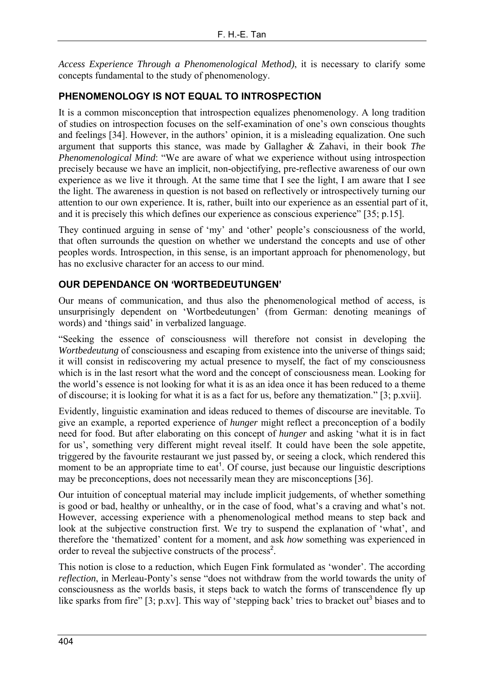*Access Experience Through a Phenomenological Method)*, it is necessary to clarify some concepts fundamental to the study of phenomenology.

#### **PHENOMENOLOGY IS NOT EQUAL TO INTROSPECTION**

It is a common misconception that introspection equalizes phenomenology. A long tradition of studies on introspection focuses on the self-examination of one's own conscious thoughts and feelings [34]. However, in the authors' opinion, it is a misleading equalization. One such argument that supports this stance, was made by Gallagher & Zahavi, in their book *The Phenomenological Mind*: "We are aware of what we experience without using introspection precisely because we have an implicit, non-objectifying, pre-reflective awareness of our own experience as we live it through. At the same time that I see the light, I am aware that I see the light. The awareness in question is not based on reflectively or introspectively turning our attention to our own experience. It is, rather, built into our experience as an essential part of it, and it is precisely this which defines our experience as conscious experience" [35; p.15].

They continued arguing in sense of 'my' and 'other' people's consciousness of the world, that often surrounds the question on whether we understand the concepts and use of other peoples words. Introspection, in this sense, is an important approach for phenomenology, but has no exclusive character for an access to our mind.

#### **OUR DEPENDANCE ON 'WORTBEDEUTUNGEN'**

Our means of communication, and thus also the phenomenological method of access, is unsurprisingly dependent on 'Wortbedeutungen' (from German: denoting meanings of words) and 'things said' in verbalized language.

"Seeking the essence of consciousness will therefore not consist in developing the *Wortbedeutung* of consciousness and escaping from existence into the universe of things said; it will consist in rediscovering my actual presence to myself, the fact of my consciousness which is in the last resort what the word and the concept of consciousness mean. Looking for the world's essence is not looking for what it is as an idea once it has been reduced to a theme of discourse; it is looking for what it is as a fact for us, before any thematization." [3; p.xvii].

Evidently, linguistic examination and ideas reduced to themes of discourse are inevitable. To give an example, a reported experience of *hunger* might reflect a preconception of a bodily need for food. But after elaborating on this concept of *hunger* and asking 'what it is in fact for us', something very different might reveal itself. It could have been the sole appetite, triggered by the favourite restaurant we just passed by, or seeing a clock, which rendered this moment to be an appropriate time to eat<sup>1</sup>. Of course, just because our linguistic descriptions may be preconceptions, does not necessarily mean they are misconceptions [36].

Our intuition of conceptual material may include implicit judgements, of whether something is good or bad, healthy or unhealthy, or in the case of food, what's a craving and what's not. However, accessing experience with a phenomenological method means to step back and look at the subjective construction first. We try to suspend the explanation of 'what', and therefore the 'thematized' content for a moment, and ask *how* something was experienced in order to reveal the subjective constructs of the process<sup>2</sup>.

This notion is close to a reduction, which Eugen Fink formulated as 'wonder'. The according *reflection*, in Merleau-Ponty's sense "does not withdraw from the world towards the unity of consciousness as the worlds basis, it steps back to watch the forms of transcendence fly up like sparks from fire" [3; p.xv]. This way of 'stepping back' tries to bracket out<sup>3</sup> biases and to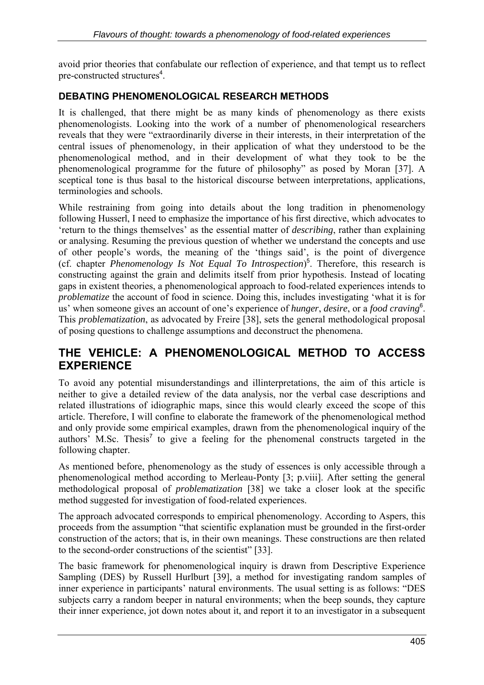avoid prior theories that confabulate our reflection of experience, and that tempt us to reflect pre-constructed structures<sup>4</sup>.

#### **DEBATING PHENOMENOLOGICAL RESEARCH METHODS**

It is challenged, that there might be as many kinds of phenomenology as there exists phenomenologists. Looking into the work of a number of phenomenological researchers reveals that they were "extraordinarily diverse in their interests, in their interpretation of the central issues of phenomenology, in their application of what they understood to be the phenomenological method, and in their development of what they took to be the phenomenological programme for the future of philosophy" as posed by Moran [37]. A sceptical tone is thus basal to the historical discourse between interpretations, applications, terminologies and schools.

While restraining from going into details about the long tradition in phenomenology following Husserl, I need to emphasize the importance of his first directive, which advocates to 'return to the things themselves' as the essential matter of *describing*, rather than explaining or analysing. Resuming the previous question of whether we understand the concepts and use of other people's words, the meaning of the 'things said', is the point of divergence (cf. chapter *Phenomenology Is Not Equal To Introspection*) 5 . Therefore, this research is constructing against the grain and delimits itself from prior hypothesis. Instead of locating gaps in existent theories, a phenomenological approach to food-related experiences intends to *problematize* the account of food in science. Doing this, includes investigating 'what it is for us' when someone gives an account of one's experience of *hunger*, *desire*, or a *food craving*<sup>6</sup> . This *problematization*, as advocated by Freire [38], sets the general methodological proposal of posing questions to challenge assumptions and deconstruct the phenomena.

### **THE VEHICLE: A PHENOMENOLOGICAL METHOD TO ACCESS EXPERIENCE**

To avoid any potential misunderstandings and illinterpretations, the aim of this article is neither to give a detailed review of the data analysis, nor the verbal case descriptions and related illustrations of idiographic maps, since this would clearly exceed the scope of this article. Therefore, I will confine to elaborate the framework of the phenomenological method and only provide some empirical examples, drawn from the phenomenological inquiry of the authors' M.Sc. Thesis<sup>7</sup> to give a feeling for the phenomenal constructs targeted in the following chapter.

As mentioned before, phenomenology as the study of essences is only accessible through a phenomenological method according to Merleau-Ponty [3; p.viii]. After setting the general methodological proposal of *problematization* [38] we take a closer look at the specific method suggested for investigation of food-related experiences.

The approach advocated corresponds to empirical phenomenology. According to Aspers, this proceeds from the assumption "that scientific explanation must be grounded in the first-order construction of the actors; that is, in their own meanings. These constructions are then related to the second-order constructions of the scientist" [33].

The basic framework for phenomenological inquiry is drawn from Descriptive Experience Sampling (DES) by Russell Hurlburt [39], a method for investigating random samples of inner experience in participants' natural environments. The usual setting is as follows: "DES subjects carry a random beeper in natural environments; when the beep sounds, they capture their inner experience, jot down notes about it, and report it to an investigator in a subsequent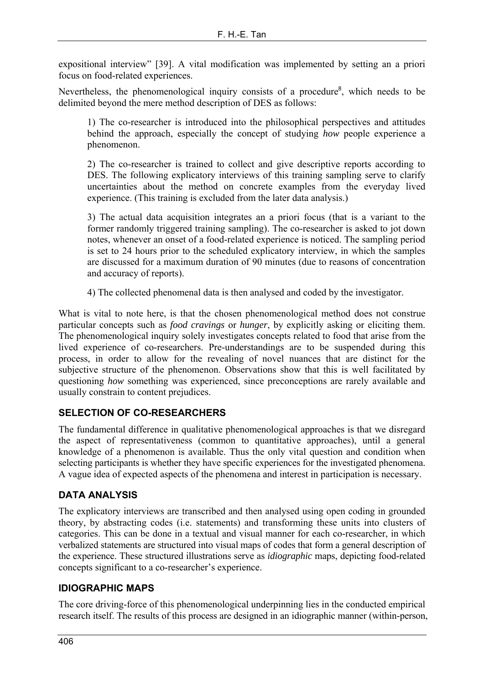expositional interview" [39]. A vital modification was implemented by setting an a priori focus on food-related experiences.

Nevertheless, the phenomenological inquiry consists of a procedure<sup>8</sup>, which needs to be delimited beyond the mere method description of DES as follows:

1) The co-researcher is introduced into the philosophical perspectives and attitudes behind the approach, especially the concept of studying *how* people experience a phenomenon.

2) The co-researcher is trained to collect and give descriptive reports according to DES. The following explicatory interviews of this training sampling serve to clarify uncertainties about the method on concrete examples from the everyday lived experience. (This training is excluded from the later data analysis.)

3) The actual data acquisition integrates an a priori focus (that is a variant to the former randomly triggered training sampling). The co-researcher is asked to jot down notes, whenever an onset of a food-related experience is noticed. The sampling period is set to 24 hours prior to the scheduled explicatory interview, in which the samples are discussed for a maximum duration of 90 minutes (due to reasons of concentration and accuracy of reports).

4) The collected phenomenal data is then analysed and coded by the investigator.

What is vital to note here, is that the chosen phenomenological method does not construe particular concepts such as *food cravings* or *hunger*, by explicitly asking or eliciting them. The phenomenological inquiry solely investigates concepts related to food that arise from the lived experience of co-researchers. Pre-understandings are to be suspended during this process, in order to allow for the revealing of novel nuances that are distinct for the subjective structure of the phenomenon. Observations show that this is well facilitated by questioning *how* something was experienced, since preconceptions are rarely available and usually constrain to content prejudices.

#### **SELECTION OF CO-RESEARCHERS**

The fundamental difference in qualitative phenomenological approaches is that we disregard the aspect of representativeness (common to quantitative approaches), until a general knowledge of a phenomenon is available. Thus the only vital question and condition when selecting participants is whether they have specific experiences for the investigated phenomena. A vague idea of expected aspects of the phenomena and interest in participation is necessary.

#### **DATA ANALYSIS**

The explicatory interviews are transcribed and then analysed using open coding in grounded theory, by abstracting codes (i.e. statements) and transforming these units into clusters of categories. This can be done in a textual and visual manner for each co-researcher, in which verbalized statements are structured into visual maps of codes that form a general description of the experience. These structured illustrations serve as *idiographic* maps, depicting food-related concepts significant to a co-researcher's experience.

#### **IDIOGRAPHIC MAPS**

The core driving-force of this phenomenological underpinning lies in the conducted empirical research itself. The results of this process are designed in an idiographic manner (within-person,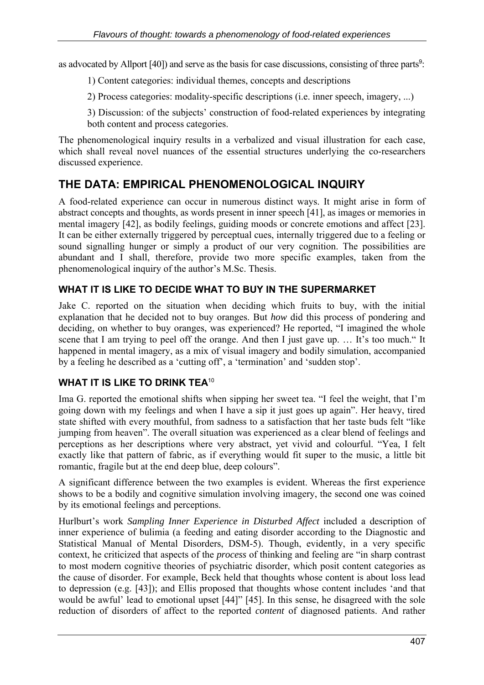as advocated by Allport  $[40]$ ) and serve as the basis for case discussions, consisting of three parts<sup>9</sup>:

1) Content categories: individual themes, concepts and descriptions

2) Process categories: modality-specific descriptions (i.e. inner speech, imagery, ...)

3) Discussion: of the subjects' construction of food-related experiences by integrating both content and process categories.

The phenomenological inquiry results in a verbalized and visual illustration for each case, which shall reveal novel nuances of the essential structures underlying the co-researchers discussed experience.

### **THE DATA: EMPIRICAL PHENOMENOLOGICAL INQUIRY**

A food-related experience can occur in numerous distinct ways. It might arise in form of abstract concepts and thoughts, as words present in inner speech [41], as images or memories in mental imagery [42], as bodily feelings, guiding moods or concrete emotions and affect [23]. It can be either externally triggered by perceptual cues, internally triggered due to a feeling or sound signalling hunger or simply a product of our very cognition. The possibilities are abundant and I shall, therefore, provide two more specific examples, taken from the phenomenological inquiry of the author's M.Sc. Thesis.

#### **WHAT IT IS LIKE TO DECIDE WHAT TO BUY IN THE SUPERMARKET**

Jake C. reported on the situation when deciding which fruits to buy, with the initial explanation that he decided not to buy oranges. But *how* did this process of pondering and deciding, on whether to buy oranges, was experienced? He reported, "I imagined the whole scene that I am trying to peel off the orange. And then I just gave up. ... It's too much." It happened in mental imagery, as a mix of visual imagery and bodily simulation, accompanied by a feeling he described as a 'cutting off', a 'termination' and 'sudden stop'.

#### **WHAT IT IS LIKE TO DRINK TEA**<sup>10</sup>

Ima G. reported the emotional shifts when sipping her sweet tea. "I feel the weight, that I'm going down with my feelings and when I have a sip it just goes up again". Her heavy, tired state shifted with every mouthful, from sadness to a satisfaction that her taste buds felt "like jumping from heaven". The overall situation was experienced as a clear blend of feelings and perceptions as her descriptions where very abstract, yet vivid and colourful. "Yea, I felt exactly like that pattern of fabric, as if everything would fit super to the music, a little bit romantic, fragile but at the end deep blue, deep colours".

A significant difference between the two examples is evident. Whereas the first experience shows to be a bodily and cognitive simulation involving imagery, the second one was coined by its emotional feelings and perceptions.

Hurlburt's work *Sampling Inner Experience in Disturbed Affect* included a description of inner experience of bulimia (a feeding and eating disorder according to the Diagnostic and Statistical Manual of Mental Disorders, DSM-5). Though, evidently, in a very specific context, he criticized that aspects of the *process* of thinking and feeling are "in sharp contrast to most modern cognitive theories of psychiatric disorder, which posit content categories as the cause of disorder. For example, Beck held that thoughts whose content is about loss lead to depression (e.g. [43]); and Ellis proposed that thoughts whose content includes 'and that would be awful' lead to emotional upset [44]" [45]. In this sense, he disagreed with the sole reduction of disorders of affect to the reported *content* of diagnosed patients. And rather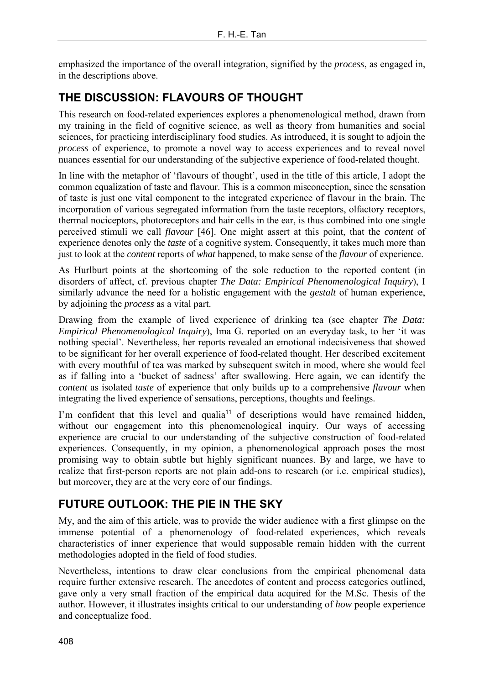emphasized the importance of the overall integration, signified by the *process*, as engaged in, in the descriptions above.

# **THE DISCUSSION: FLAVOURS OF THOUGHT**

This research on food-related experiences explores a phenomenological method, drawn from my training in the field of cognitive science, as well as theory from humanities and social sciences, for practicing interdisciplinary food studies. As introduced, it is sought to adjoin the *process* of experience, to promote a novel way to access experiences and to reveal novel nuances essential for our understanding of the subjective experience of food-related thought.

In line with the metaphor of 'flavours of thought', used in the title of this article, I adopt the common equalization of taste and flavour. This is a common misconception, since the sensation of taste is just one vital component to the integrated experience of flavour in the brain. The incorporation of various segregated information from the taste receptors, olfactory receptors, thermal nociceptors, photoreceptors and hair cells in the ear, is thus combined into one single perceived stimuli we call *flavour* [46]. One might assert at this point, that the *content* of experience denotes only the *taste* of a cognitive system. Consequently, it takes much more than just to look at the *content* reports of *what* happened, to make sense of the *flavour* of experience.

As Hurlburt points at the shortcoming of the sole reduction to the reported content (in disorders of affect, cf. previous chapter *The Data: Empirical Phenomenological Inquiry*), I similarly advance the need for a holistic engagement with the *gestalt* of human experience, by adjoining the *process* as a vital part.

Drawing from the example of lived experience of drinking tea (see chapter *The Data: Empirical Phenomenological Inquiry*), Ima G. reported on an everyday task, to her 'it was nothing special'. Nevertheless, her reports revealed an emotional indecisiveness that showed to be significant for her overall experience of food-related thought. Her described excitement with every mouthful of tea was marked by subsequent switch in mood, where she would feel as if falling into a 'bucket of sadness' after swallowing. Here again, we can identify the *content* as isolated *taste* of experience that only builds up to a comprehensive *flavour* when integrating the lived experience of sensations, perceptions, thoughts and feelings.

I'm confident that this level and qualia<sup>11</sup> of descriptions would have remained hidden, without our engagement into this phenomenological inquiry. Our ways of accessing experience are crucial to our understanding of the subjective construction of food-related experiences. Consequently, in my opinion, a phenomenological approach poses the most promising way to obtain subtle but highly significant nuances. By and large, we have to realize that first-person reports are not plain add-ons to research (or i.e. empirical studies), but moreover, they are at the very core of our findings.

# **FUTURE OUTLOOK: THE PIE IN THE SKY**

My, and the aim of this article, was to provide the wider audience with a first glimpse on the immense potential of a phenomenology of food-related experiences, which reveals characteristics of inner experience that would supposable remain hidden with the current methodologies adopted in the field of food studies.

Nevertheless, intentions to draw clear conclusions from the empirical phenomenal data require further extensive research. The anecdotes of content and process categories outlined, gave only a very small fraction of the empirical data acquired for the M.Sc. Thesis of the author. However, it illustrates insights critical to our understanding of *how* people experience and conceptualize food.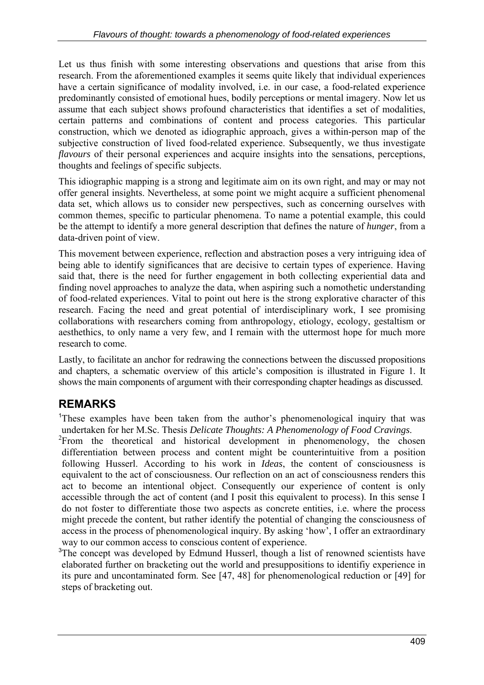Let us thus finish with some interesting observations and questions that arise from this research. From the aforementioned examples it seems quite likely that individual experiences have a certain significance of modality involved, i.e. in our case, a food-related experience predominantly consisted of emotional hues, bodily perceptions or mental imagery. Now let us assume that each subject shows profound characteristics that identifies a set of modalities, certain patterns and combinations of content and process categories. This particular construction, which we denoted as idiographic approach, gives a within-person map of the subjective construction of lived food-related experience. Subsequently, we thus investigate *flavours* of their personal experiences and acquire insights into the sensations, perceptions, thoughts and feelings of specific subjects.

This idiographic mapping is a strong and legitimate aim on its own right, and may or may not offer general insights. Nevertheless, at some point we might acquire a sufficient phenomenal data set, which allows us to consider new perspectives, such as concerning ourselves with common themes, specific to particular phenomena. To name a potential example, this could be the attempt to identify a more general description that defines the nature of *hunger*, from a data-driven point of view.

This movement between experience, reflection and abstraction poses a very intriguing idea of being able to identify significances that are decisive to certain types of experience. Having said that, there is the need for further engagement in both collecting experiential data and finding novel approaches to analyze the data, when aspiring such a nomothetic understanding of food-related experiences. Vital to point out here is the strong explorative character of this research. Facing the need and great potential of interdisciplinary work, I see promising collaborations with researchers coming from anthropology, etiology, ecology, gestaltism or aesthethics, to only name a very few, and I remain with the uttermost hope for much more research to come.

Lastly, to facilitate an anchor for redrawing the connections between the discussed propositions and chapters, a schematic overview of this article's composition is illustrated in Figure 1. It shows the main components of argument with their corresponding chapter headings as discussed.

# **REMARKS**

<sup>1</sup>These examples have been taken from the author's phenomenological inquiry that was undertaken for her M.Sc. Thesis *Delicate Thoughts: A Phenomenology of Food Cravings.*<br><sup>2</sup> From the theoretical and historical development in phenomenology the choice

<sup>2</sup>From the theoretical and historical development in phenomenology, the chosen differentiation between process and content might be counterintuitive from a position following Husserl. According to his work in *Ideas*, the content of consciousness is equivalent to the act of consciousness. Our reflection on an act of consciousness renders this act to become an intentional object. Consequently our experience of content is only accessible through the act of content (and I posit this equivalent to process). In this sense I do not foster to differentiate those two aspects as concrete entities, i.e. where the process 2 might precede the content, but rather identify the potential of changing the consciousness of access in the process of phenomenological inquiry. By asking 'how', I offer an extraordinary way to our common access to conscious content of experience.

<sup>3</sup>The concept was developed by Edmund Husserl, though a list of renowned scientists have elaborated further on bracketing out the world and presuppositions to identifiy experience in its pure and uncontaminated form. See [47, 48] for phenomenological reduction or [49] for steps of bracketing out.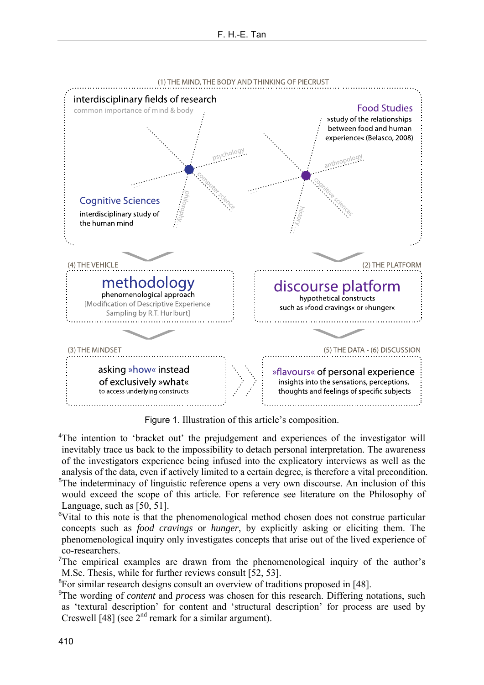

Figure 1. Illustration of this article's composition.

<sup>4</sup>The intention to 'bracket out' the prejudgement and experiences of the investigator will inevitably trace us back to the impossibility to detach personal interpretation. The awareness of the investigators experience being infused into the explicatory interviews as well as the analysis of the data, even if actively limited to a certain degree, is therefore a vital precondition. <sup>5</sup>The indeterminacy of linguistic reference opens a very own discourse. An inclusion of this 5 would exceed the scope of this article. For reference see literature on the Philosophy of Language, such as [50, 51].

- <sup>6</sup>Vital to this note is that the phenomenological method chosen does not construe particular 6 concepts such as *food cravings* or *hunger*, by explicitly asking or eliciting them. The phenomenological inquiry only investigates concepts that arise out of the lived experience of co-researchers.
- <sup>7</sup>The empirical examples are drawn from the phenomenological inquiry of the author's M.Sc. Thesis, while for further reviews consult [52, 53].
- <sup>8</sup>For similar research designs consult an overview of traditions proposed in [48].
- 9 The wording of *content* and *process* was chosen for this research. Differing notations, such as 'textural description' for content and 'structural description' for process are used by Creswell [48] (see  $2<sup>nd</sup>$  remark for a similar argument).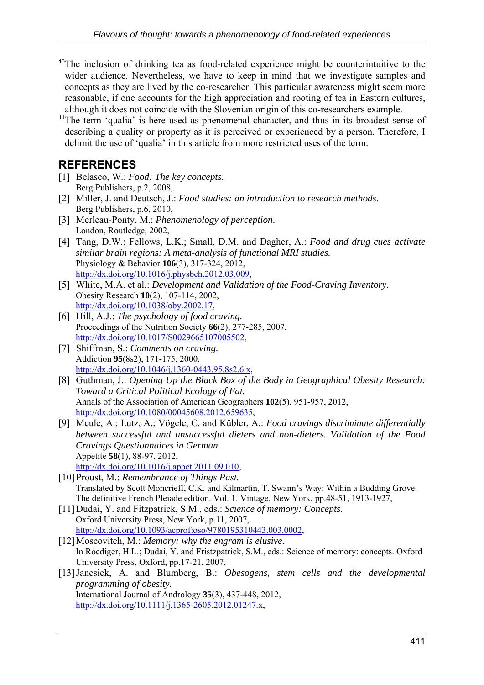<sup>10</sup>The inclusion of drinking tea as food-related experience might be counterintuitive to the wider audience. Nevertheless, we have to keep in mind that we investigate samples and concepts as they are lived by the co-researcher. This particular awareness might seem more reasonable, if one accounts for the high appreciation and rooting of tea in Eastern cultures, although it does not coincide with the Slovenian origin of this co-researchers example.

 $11$ <sup>11</sup>The term 'qualia' is here used as phenomenal character, and thus in its broadest sense of describing a quality or property as it is perceived or experienced by a person. Therefore, I delimit the use of 'qualia' in this article from more restricted uses of the term.

### **REFERENCES**

- [1] Belasco, W.: *Food: The key concepts*. Berg Publishers, p.2, 2008,
- [2] Miller, J. and Deutsch, J.: *Food studies: an introduction to research methods*. Berg Publishers, p.6, 2010,
- [3] Merleau-Ponty, M.: *Phenomenology of perception*. London, Routledge, 2002,
- [4] Tang, D.W.; Fellows, L.K.; Small, D.M. and Dagher, A.: *Food and drug cues activate similar brain regions: A meta-analysis of functional MRI studies.*  Physiology & Behavior **106**(3), 317-324, 2012, http://dx.doi.org/10.1016/j.physbeh.2012.03.009,
- [5] White, M.A. et al.: *Development and Validation of the Food-Craving Inventory*. Obesity Research **10**(2), 107-114, 2002, http://dx.doi.org/10.1038/oby.2002.17,
- [6] Hill, A.J.: *The psychology of food craving.* Proceedings of the Nutrition Society **66**(2), 277-285, 2007, http://dx.doi.org/10.1017/S0029665107005502,
- [7] Shiffman, S.: *Comments on craving.* Addiction **95**(8s2), 171-175, 2000, http://dx.doi.org/10.1046/j.1360-0443.95.8s2.6.x,
- [8] Guthman, J.: *Opening Up the Black Box of the Body in Geographical Obesity Research: Toward a Critical Political Ecology of Fat.* Annals of the Association of American Geographers **102**(5), 951-957, 2012, http://dx.doi.org/10.1080/00045608.2012.659635,
- [9] Meule, A.; Lutz, A.; Vögele, C. and Kübler, A.: *Food cravings discriminate differentially between successful and unsuccessful dieters and non-dieters. Validation of the Food Cravings Questionnaires in German.*  Appetite **58**(1), 88-97, 2012, http://dx.doi.org/10.1016/j.appet.2011.09.010,
- [10]Proust, M.: *Remembrance of Things Past.* Translated by Scott Moncrieff, C.K. and Kilmartin, T. Swann's Way: Within a Budding Grove. The definitive French Pleiade edition. Vol. 1. Vintage. New York, pp.48-51, 1913-1927,
- [11]Dudai, Y. and Fitzpatrick, S.M., eds.: *Science of memory: Concepts*. Oxford University Press, New York, p.11, 2007, http://dx.doi.org/10.1093/acprof:oso/9780195310443.003.0002,
- [12]Moscovitch, M.: *Memory: why the engram is elusive*. In Roediger, H.L.; Dudai, Y. and Fristzpatrick, S.M., eds.: Science of memory: concepts. Oxford University Press, Oxford, pp.17-21, 2007,
- [13]Janesick, A. and Blumberg, B.: *Obesogens, stem cells and the developmental programming of obesity.* International Journal of Andrology **35**(3), 437-448, 2012, http://dx.doi.org/10.1111/j.1365-2605.2012.01247.x,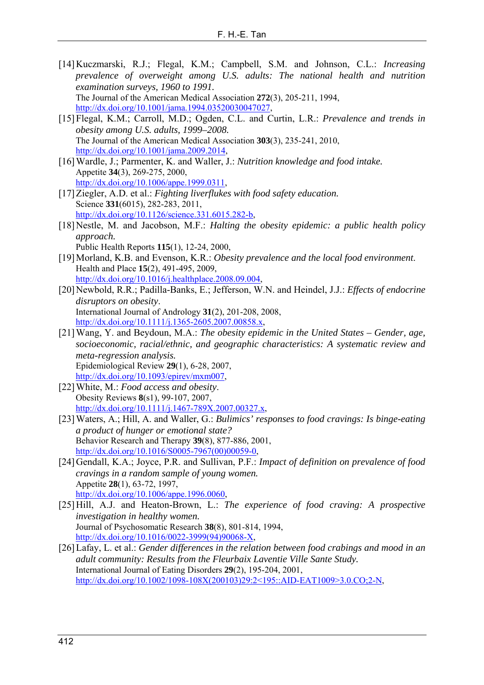- [14]Kuczmarski, R.J.; Flegal, K.M.; Campbell, S.M. and Johnson, C.L.: *Increasing prevalence of overweight among U.S. adults: The national health and nutrition examination surveys, 1960 to 1991.*  The Journal of the American Medical Association **272**(3), 205-211, 1994, http://dx.doi.org/10.1001/jama.1994.03520030047027,
- [15]Flegal, K.M.; Carroll, M.D.; Ogden, C.L. and Curtin, L.R.: *Prevalence and trends in obesity among U.S. adults, 1999–2008.* The Journal of the American Medical Association **303**(3), 235-241, 2010, http://dx.doi.org/10.1001/jama.2009.2014,
- [16]Wardle, J.; Parmenter, K. and Waller, J.: *Nutrition knowledge and food intake.* Appetite **34**(3), 269-275, 2000, http://dx.doi.org/10.1006/appe.1999.0311,
- [17]Ziegler, A.D. et al.: *Fighting liverflukes with food safety education.*  Science **331**(6015), 282-283, 2011, http://dx.doi.org/10.1126/science.331.6015.282-b,
- [18]Nestle, M. and Jacobson, M.F.: *Halting the obesity epidemic: a public health policy approach.*  Public Health Reports **115**(1), 12-24, 2000,
- [19]Morland, K.B. and Evenson, K.R.: *Obesity prevalence and the local food environment*. Health and Place **15**(2), 491-495, 2009, http://dx.doi.org/10.1016/j.healthplace.2008.09.004,
- [20]Newbold, R.R.; Padilla-Banks, E.; Jefferson, W.N. and Heindel, J.J.: *Effects of endocrine disruptors on obesity*. International Journal of Andrology **31**(2), 201-208, 2008, http://dx.doi.org/10.1111/j.1365-2605.2007.00858.x,
- [21]Wang, Y. and Beydoun, M.A.: *The obesity epidemic in the United States Gender, age, socioeconomic, racial/ethnic, and geographic characteristics: A systematic review and meta-regression analysis.* Epidemiological Review **29**(1), 6-28, 2007, http://dx.doi.org/10.1093/epirev/mxm007,
- [22]White, M.: *Food access and obesity*. Obesity Reviews **8**(s1), 99-107, 2007, http://dx.doi.org/10.1111/j.1467-789X.2007.00327.x,
- [23]Waters, A.; Hill, A. and Waller, G.: *Bulimics' responses to food cravings: Is binge-eating a product of hunger or emotional state?* Behavior Research and Therapy **39**(8), 877-886, 2001, http://dx.doi.org/10.1016/S0005-7967(00)00059-0.
- [24]Gendall, K.A.; Joyce, P.R. and Sullivan, P.F.: *Impact of definition on prevalence of food cravings in a random sample of young women.* Appetite **28**(1), 63-72, 1997, http://dx.doi.org/10.1006/appe.1996.0060,
- [25]Hill, A.J. and Heaton-Brown, L.: *The experience of food craving: A prospective investigation in healthy women.* Journal of Psychosomatic Research **38**(8), 801-814, 1994, http://dx.doi.org/10.1016/0022-3999(94)90068-X,
- [26]Lafay, L. et al.: *Gender differences in the relation between food crabings and mood in an adult community: Results from the Fleurbaix Laventie Ville Sante Study.* International Journal of Eating Disorders **29**(2), 195-204, 2001, http://dx.doi.org/10.1002/1098-108X(200103)29:2<195::AID-EAT1009>3.0.CO;2-N,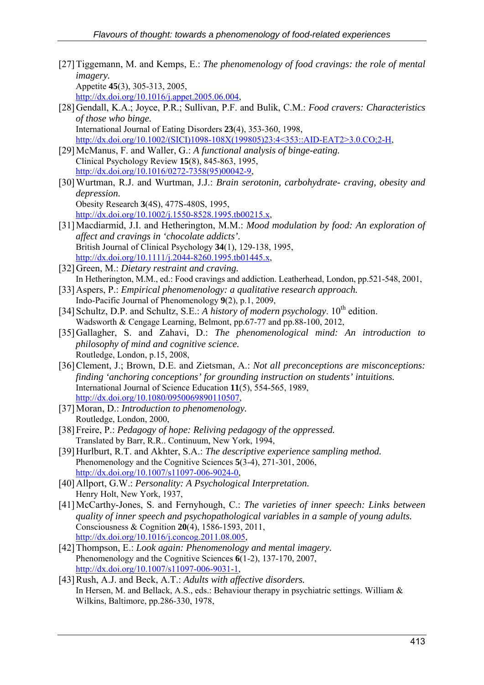- [27]Tiggemann, M. and Kemps, E.: *The phenomenology of food cravings: the role of mental imagery.* Appetite **45**(3), 305-313, 2005, http://dx.doi.org/10.1016/j.appet.2005.06.004,
- [28]Gendall, K.A.; Joyce, P.R.; Sullivan, P.F. and Bulik, C.M.: *Food cravers: Characteristics of those who binge.* International Journal of Eating Disorders **23**(4), 353-360, 1998, http://dx.doi.org/10.1002/(SICI)1098-108X(199805)23:4<353::AID-EAT2>3.0.CO;2-H,
- [29]McManus, F. and Waller, G.: *A functional analysis of binge-eating.* Clinical Psychology Review **15**(8), 845-863, 1995, http://dx.doi.org/10.1016/0272-7358(95)00042-9,
- [30]Wurtman, R.J. and Wurtman, J.J.: *Brain serotonin, carbohydrate- craving, obesity and depression.*  Obesity Research **3**(4S), 477S-480S, 1995, http://dx.doi.org/10.1002/j.1550-8528.1995.tb00215.x,
- [31]Macdiarmid, J.I. and Hetherington, M.M.: *Mood modulation by food: An exploration of affect and cravings in 'chocolate addicts'.* British Journal of Clinical Psychology **34**(1), 129-138, 1995, http://dx.doi.org/10.1111/j.2044-8260.1995.tb01445.x,
- [32]Green, M.: *Dietary restraint and craving.* In Hetherington, M.M., ed.: Food cravings and addiction. Leatherhead, London, pp.521-548, 2001,
- [33]Aspers, P.: *Empirical phenomenology: a qualitative research approach.* Indo-Pacific Journal of Phenomenology **9**(2), p.1, 2009,
- [34] Schultz, D.P. and Schultz, S.E.: *A history of modern psychology*. 10<sup>th</sup> edition. Wadsworth & Cengage Learning, Belmont, pp.67-77 and pp.88-100, 2012,
- [35]Gallagher, S. and Zahavi, D.: *The phenomenological mind: An introduction to philosophy of mind and cognitive science.* Routledge, London, p.15, 2008,
- [36] Clement, J.; Brown, D.E. and Zietsman, A.: *Not all preconceptions are misconceptions: finding 'anchoring conceptions' for grounding instruction on students' intuitions.* International Journal of Science Education **11**(5), 554-565, 1989, http://dx.doi.org/10.1080/0950069890110507,
- [37]Moran, D.: *Introduction to phenomenology.* Routledge, London, 2000,
- [38]Freire, P.: *Pedagogy of hope: Reliving pedagogy of the oppressed.* Translated by Barr, R.R.. Continuum, New York, 1994,
- [39]Hurlburt, R.T. and Akhter, S.A.: *The descriptive experience sampling method.* Phenomenology and the Cognitive Sciences **5**(3-4), 271-301, 2006, http://dx.doi.org/10.1007/s11097-006-9024-0,
- [40]Allport, G.W.: *Personality: A Psychological Interpretation.* Henry Holt, New York, 1937,
- [41]McCarthy-Jones, S. and Fernyhough, C.: *The varieties of inner speech: Links between quality of inner speech and psychopathological variables in a sample of young adults.* Consciousness & Cognition **20**(4), 1586-1593, 2011, http://dx.doi.org/10.1016/j.concog.2011.08.005,
- [42]Thompson, E.: *Look again: Phenomenology and mental imagery.* Phenomenology and the Cognitive Sciences **6**(1-2), 137-170, 2007, http://dx.doi.org/10.1007/s11097-006-9031-1,
- [43]Rush, A.J. and Beck, A.T.: *Adults with affective disorders.* In Hersen, M. and Bellack, A.S., eds.: Behaviour therapy in psychiatric settings. William & Wilkins, Baltimore, pp.286-330, 1978,